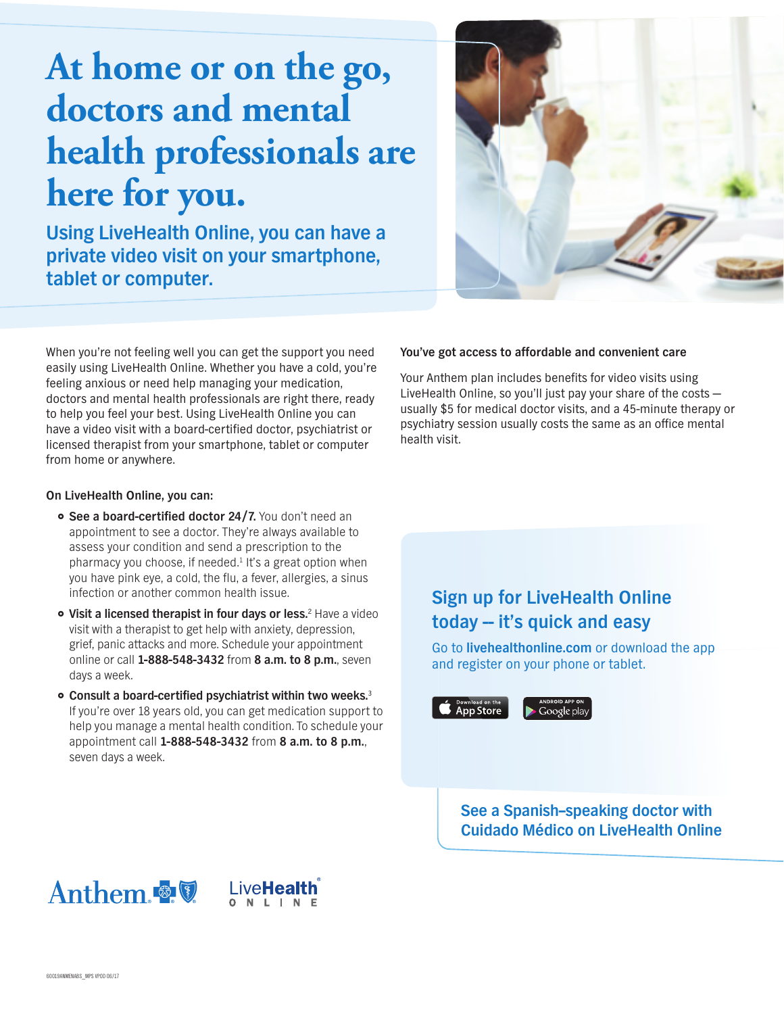## At home or on the go, **doctors and mental health professionals are** here for you.

**Using LiveHealth Online, you can have a private video visit on your smartphone, tablet or computer.** 



When you're not feeling well you can get the support you need easily using LiveHealth Online. Whether you have a cold, you're feeling anxious or need help managing your medication, doctors and mental health professionals are right there, ready to help you feel your best. Using LiveHealth Online you can have a video visit with a board-certified doctor, psychiatrist or licensed therapist from your smartphone, tablet or computer from home or anywhere.

## **On LiveHealth Online, you can:**

- **See a board-certified doctor 24/7.** You don't need an appointment to see a doctor. They're always available to assess your condition and send a prescription to the pharmacy you choose, if needed.<sup>1</sup> It's a great option when you have pink eye, a cold, the flu, a fever, allergies, a sinus infection or another common health issue.
- **Visit a licensed therapist in four days or less.**<sup>2</sup> Have a video visit with a therapist to get help with anxiety, depression, grief, panic attacks and more. Schedule your appointment online or call **1-888-548-3432** from **8 a.m. to 8 p.m.**, seven days a week.
- **Consult a board-certified psychiatrist within two weeks.**<sup>3</sup> If you're over 18 years old, you can get medication support to help you manage a mental health condition. To schedule your appointment call **1-888-548-3432** from **8 a.m. to 8 p.m.**, seven days a week.

## **You've got access to affordable and convenient care**

Your Anthem plan includes benefits for video visits using LiveHealth Online, so you'll just pay your share of the costs usually \$5 for medical doctor visits, and a 45-minute therapy or psychiatry session usually costs the same as an office mental health visit.

## **Sign up for LiveHealth Online**  today – it's quick and easy

Go to **livehealthonline.com** or download the app and register on your phone or tablet.

App Store

Google play

**See a Spanish–speaking doctor with Cuidado Médico on LiveHealth Online**